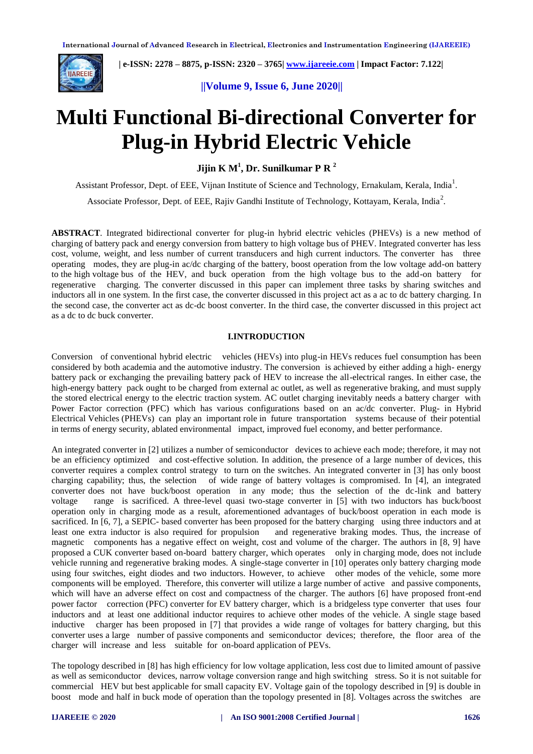

 **| e-ISSN: 2278 – 8875, p-ISSN: 2320 – 3765| [www.ijareeie.com](http://www.ijareeie.com/) | Impact Factor: 7.122|** 

# **||Volume 9, Issue 6, June 2020||**

# **Multi Functional Bi-directional Converter for Plug-in Hybrid Electric Vehicle**

**Jijin K M<sup>1</sup> , Dr. Sunilkumar P R <sup>2</sup>**

Assistant Professor, Dept. of EEE, Vijnan Institute of Science and Technology, Ernakulam, Kerala, India<sup>1</sup>.

Associate Professor, Dept. of EEE, Rajiv Gandhi Institute of Technology, Kottayam, Kerala, India<sup>2</sup>.

**ABSTRACT***.* Integrated bidirectional converter for plug-in hybrid electric vehicles (PHEVs) is a new method of charging of battery pack and energy conversion from battery to high voltage bus of PHEV. Integrated converter has less cost, volume, weight, and less number of current transducers and high current inductors. The converter has three operating modes, they are plug-in ac/dc charging of the battery, boost operation from the low voltage add-on battery to the high voltage bus of the HEV, and buck operation from the high voltage bus to the add-on battery for regenerative charging. The converter discussed in this paper can implement three tasks by sharing switches and inductors all in one system. In the first case, the converter discussed in this project act as a ac to dc battery charging. In the second case, the converter act as dc-dc boost converter. In the third case, the converter discussed in this project act as a dc to dc buck converter.

# **I.INTRODUCTION**

Conversion of conventional hybrid electric vehicles (HEVs) into plug-in HEVs reduces fuel consumption has been considered by both academia and the automotive industry. The conversion is achieved by either adding a high- energy battery pack or exchanging the prevailing battery pack of HEV to increase the all-electrical ranges. In either case, the high-energy battery pack ought to be charged from external ac outlet, as well as regenerative braking, and must supply the stored electrical energy to the electric traction system. AC outlet charging inevitably needs a battery charger with Power Factor correction (PFC) which has various configurations based on an ac/dc converter. Plug- in Hybrid Electrical Vehicles (PHEVs) can play an important role in future transportation systems because of their potential in terms of energy security, ablated environmental impact, improved fuel economy, and better performance.

An integrated converter in [2] utilizes a number of semiconductor devices to achieve each mode; therefore, it may not be an efficiency optimized and cost-effective solution. In addition, the presence of a large number of devices, this converter requires a complex control strategy to turn on the switches. An integrated converter in [3] has only boost charging capability; thus, the selection of wide range of battery voltages is compromised. In [4], an integrated converter does not have buck/boost operation in any mode; thus the selection of the dc-link and battery voltage range is sacrificed. A three-level quasi two-stage converter in [5] with two inductors has buck/boost operation only in charging mode as a result, aforementioned advantages of buck/boost operation in each mode is sacrificed. In [6, 7], a SEPIC- based converter has been proposed for the battery charging using three inductors and at least one extra inductor is also required for propulsion and regenerative braking modes. Thus, the increase of magnetic components has a negative effect on weight, cost and volume of the charger. The authors in [8, 9] have proposed a CUK converter based on-board battery charger, which operates only in charging mode, does not include vehicle running and regenerative braking modes. A single-stage converter in [10] operates only battery charging mode using four switches, eight diodes and two inductors. However, to achieve other modes of the vehicle, some more components will be employed. Therefore, this converter will utilize a large number of active and passive components, which will have an adverse effect on cost and compactness of the charger. The authors [6] have proposed front-end power factor correction (PFC) converter for EV battery charger, which is a bridgeless type converter that uses four inductors and at least one additional inductor requires to achieve other modes of the vehicle. A single stage based inductive charger has been proposed in [7] that provides a wide range of voltages for battery charging, but this converter uses a large number of passive components and semiconductor devices; therefore, the floor area of the charger will increase and less suitable for on-board application of PEVs.

The topology described in [8] has high efficiency for low voltage application, less cost due to limited amount of passive as well as semiconductor devices, narrow voltage conversion range and high switching stress. So it is not suitable for commercial HEV but best applicable for small capacity EV. Voltage gain of the topology described in [9] is double in boost mode and half in buck mode of operation than the topology presented in [8]. Voltages across the switches are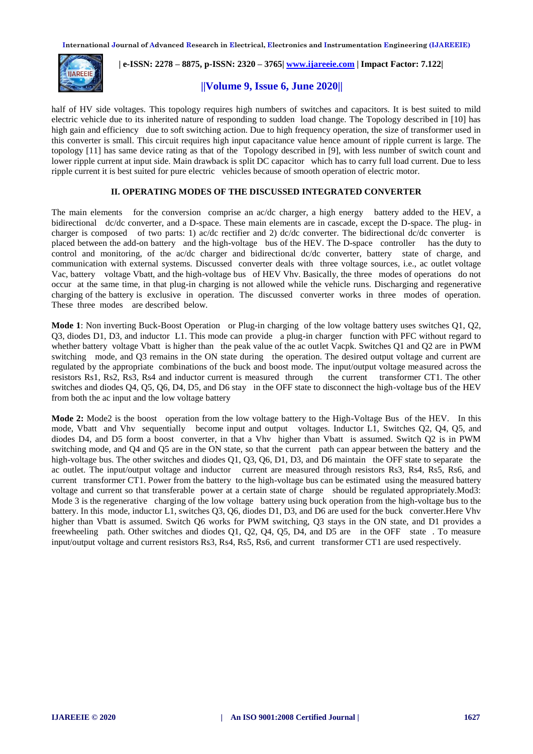

 **| e-ISSN: 2278 – 8875, p-ISSN: 2320 – 3765| [www.ijareeie.com](http://www.ijareeie.com/) | Impact Factor: 7.122|** 

# **||Volume 9, Issue 6, June 2020||**

half of HV side voltages. This topology requires high numbers of switches and capacitors. It is best suited to mild electric vehicle due to its inherited nature of responding to sudden load change. The Topology described in [10] has high gain and efficiency due to soft switching action. Due to high frequency operation, the size of transformer used in this converter is small. This circuit requires high input capacitance value hence amount of ripple current is large. The topology [11] has same device rating as that of the Topology described in [9], with less number of switch count and lower ripple current at input side. Main drawback is split DC capacitor which has to carry full load current. Due to less ripple current it is best suited for pure electric vehicles because of smooth operation of electric motor.

# **II. OPERATING MODES OF THE DISCUSSED INTEGRATED CONVERTER**

The main elements for the conversion comprise an ac/dc charger, a high energy battery added to the HEV, a bidirectional dc/dc converter, and a D-space. These main elements are in cascade, except the D-space. The plug- in charger is composed of two parts: 1) ac/dc rectifier and 2) dc/dc converter. The bidirectional dc/dc converter is placed between the add-on battery and the high-voltage bus of the HEV. The D-space controller has the duty to control and monitoring, of the ac/dc charger and bidirectional dc/dc converter, battery state of charge, and communication with external systems. Discussed converter deals with three voltage sources, i.e., ac outlet voltage Vac, battery voltage Vbatt, and the high-voltage bus of HEV Vhv. Basically, the three modes of operations do not occur at the same time, in that plug-in charging is not allowed while the vehicle runs. Discharging and regenerative charging of the battery is exclusive in operation. The discussed converter works in three modes of operation. These three modes are described below.

**Mode 1**: Non inverting Buck-Boost Operation or Plug-in charging of the low voltage battery uses switches Q1, Q2, Q3, diodes D1, D3, and inductor L1. This mode can provide a plug-in charger function with PFC without regard to whether battery voltage Vbatt is higher than the peak value of the ac outlet Vacpk. Switches Q1 and Q2 are in PWM switching mode, and Q3 remains in the ON state during the operation. The desired output voltage and current are regulated by the appropriate combinations of the buck and boost mode. The input/output voltage measured across the resistors Rs1, Rs2, Rs3, Rs4 and inductor current is measured through the current transformer CT1. The other switches and diodes Q4, Q5, Q6, D4, D5, and D6 stay in the OFF state to disconnect the high-voltage bus of the HEV from both the ac input and the low voltage battery

**Mode 2:** Mode2 is the boost operation from the low voltage battery to the High-Voltage Bus of the HEV. In this mode, Vbatt and Vhv sequentially become input and output voltages. Inductor L1, Switches Q2, Q4, Q5, and diodes D4, and D5 form a boost converter, in that a Vhv higher than Vbatt is assumed. Switch Q2 is in PWM switching mode, and Q4 and Q5 are in the ON state, so that the current path can appear between the battery and the high-voltage bus. The other switches and diodes Q1, Q3, Q6, D1, D3, and D6 maintain the OFF state to separate the ac outlet. The input/output voltage and inductor current are measured through resistors Rs3, Rs4, Rs5, Rs6, and current transformer CT1. Power from the battery to the high-voltage bus can be estimated using the measured battery voltage and current so that transferable power at a certain state of charge should be regulated appropriately.Mod3: Mode 3 is the regenerative charging of the low voltage battery using buck operation from the high-voltage bus to the battery. In this mode, inductor L1, switches Q3, Q6, diodes D1, D3, and D6 are used for the buck converter.Here Vhv higher than Vbatt is assumed. Switch Q6 works for PWM switching, Q3 stays in the ON state, and D1 provides a freewheeling path. Other switches and diodes Q1, Q2, Q4, Q5, D4, and D5 are in the OFF state . To measure input/output voltage and current resistors Rs3, Rs4, Rs5, Rs6, and current transformer CT1 are used respectively.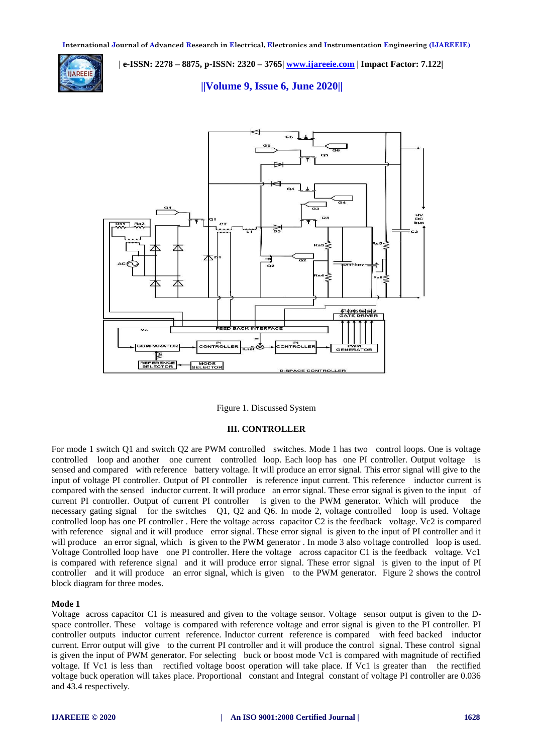

 **| e-ISSN: 2278 – 8875, p-ISSN: 2320 – 3765| [www.ijareeie.com](http://www.ijareeie.com/) | Impact Factor: 7.122|** 

 **||Volume 9, Issue 6, June 2020||** 



Figure 1. Discussed System

# **III. CONTROLLER**

For mode 1 switch Q1 and switch Q2 are PWM controlled switches. Mode 1 has two control loops. One is voltage controlled loop and another one current controlled loop. Each loop has one PI controller. Output voltage is sensed and compared with reference battery voltage. It will produce an error signal. This error signal will give to the input of voltage PI controller. Output of PI controller is reference input current. This reference inductor current is compared with the sensed inductor current. It will produce an error signal. These error signal is given to the input of current PI controller. Output of current PI controller is given to the PWM generator. Which will produce the necessary gating signal for the switches Q1, Q2 and Q6. In mode 2, voltage controlled loop is used. Voltage controlled loop has one PI controller . Here the voltage across capacitor C2 is the feedback voltage. Vc2 is compared with reference signal and it will produce error signal. These error signal is given to the input of PI controller and it will produce an error signal, which is given to the PWM generator. In mode 3 also voltage controlled loop is used. Voltage Controlled loop have one PI controller. Here the voltage across capacitor C1 is the feedback voltage. Vc1 is compared with reference signal and it will produce error signal. These error signal is given to the input of PI controller and it will produce an error signal, which is given to the PWM generator. Figure 2 shows the control block diagram for three modes.

## **Mode 1**

Voltage across capacitor C1 is measured and given to the voltage sensor. Voltage sensor output is given to the Dspace controller. These voltage is compared with reference voltage and error signal is given to the PI controller. PI controller outputs inductor current reference. Inductor current reference is compared with feed backed inductor current. Error output will give to the current PI controller and it will produce the control signal. These control signal is given the input of PWM generator. For selecting buck or boost mode Vc1 is compared with magnitude of rectified voltage. If Vc1 is less than rectified voltage boost operation will take place. If Vc1 is greater than the rectified voltage buck operation will takes place. Proportional constant and Integral constant of voltage PI controller are 0.036 and 43.4 respectively.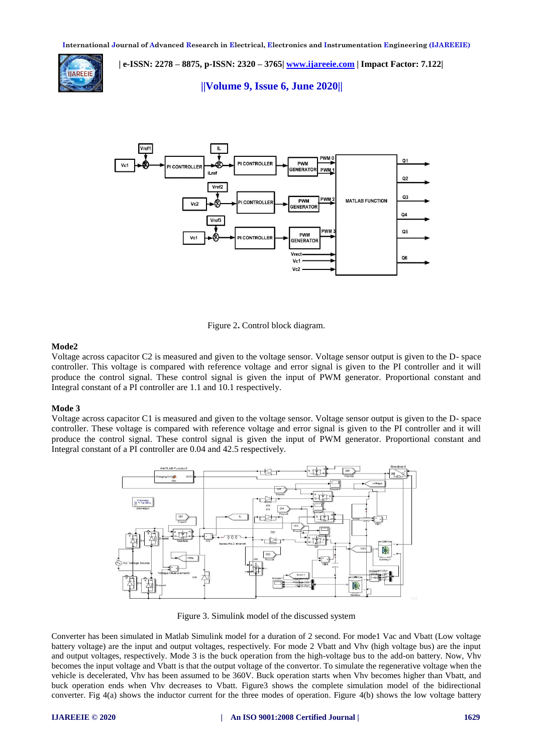

 **| e-ISSN: 2278 – 8875, p-ISSN: 2320 – 3765| [www.ijareeie.com](http://www.ijareeie.com/) | Impact Factor: 7.122|** 

 **||Volume 9, Issue 6, June 2020||** 





# **Mode2**

Voltage across capacitor C2 is measured and given to the voltage sensor. Voltage sensor output is given to the D- space controller. This voltage is compared with reference voltage and error signal is given to the PI controller and it will produce the control signal. These control signal is given the input of PWM generator. Proportional constant and Integral constant of a PI controller are 1.1 and 10.1 respectively.

### **Mode 3**

Voltage across capacitor C1 is measured and given to the voltage sensor. Voltage sensor output is given to the D- space controller. These voltage is compared with reference voltage and error signal is given to the PI controller and it will produce the control signal. These control signal is given the input of PWM generator. Proportional constant and Integral constant of a PI controller are 0.04 and 42.5 respectively.



Figure 3. Simulink model of the discussed system

Converter has been simulated in Matlab Simulink model for a duration of 2 second. For mode1 Vac and Vbatt (Low voltage battery voltage) are the input and output voltages, respectively. For mode 2 Vbatt and Vhv (high voltage bus) are the input and output voltages, respectively. Mode 3 is the buck operation from the high-voltage bus to the add-on battery. Now, Vhv becomes the input voltage and Vbatt is that the output voltage of the convertor. To simulate the regenerative voltage when the vehicle is decelerated, Vhv has been assumed to be 360V. Buck operation starts when Vhv becomes higher than Vbatt, and buck operation ends when Vhv decreases to Vbatt. Figure3 shows the complete simulation model of the bidirectional converter. Fig 4(a) shows the inductor current for the three modes of operation. Figure 4(b) shows the low voltage battery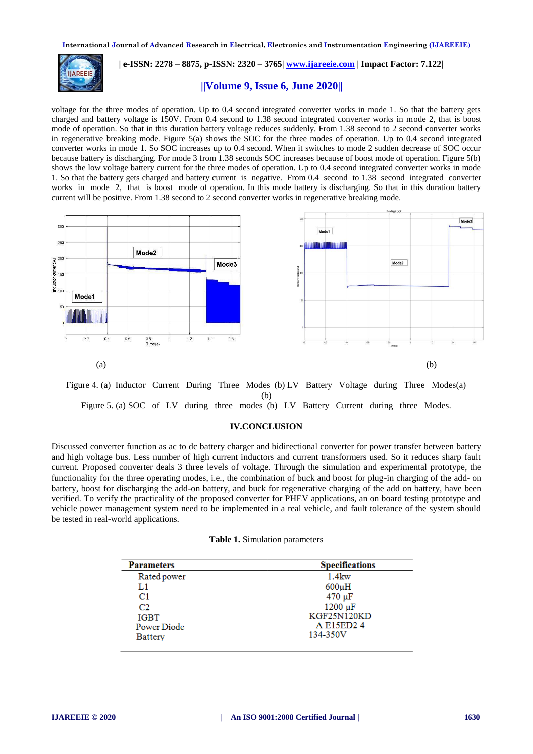

# **| e-ISSN: 2278 – 8875, p-ISSN: 2320 – 3765| [www.ijareeie.com](http://www.ijareeie.com/) | Impact Factor: 7.122|**

# **||Volume 9, Issue 6, June 2020||**

voltage for the three modes of operation. Up to 0.4 second integrated converter works in mode 1. So that the battery gets charged and battery voltage is 150V. From 0.4 second to 1.38 second integrated converter works in mode 2, that is boost mode of operation. So that in this duration battery voltage reduces suddenly. From 1.38 second to 2 second converter works in regenerative breaking mode. Figure 5(a) shows the SOC for the three modes of operation. Up to 0.4 second integrated converter works in mode 1. So SOC increases up to 0.4 second. When it switches to mode 2 sudden decrease of SOC occur because battery is discharging. For mode 3 from 1.38 seconds SOC increases because of boost mode of operation. Figure 5(b) shows the low voltage battery current for the three modes of operation. Up to 0.4 second integrated converter works in mode 1. So that the battery gets charged and battery current is negative. From 0.4 second to 1.38 second integrated converter works in mode 2, that is boost mode of operation. In this mode battery is discharging. So that in this duration battery current will be positive. From 1.38 second to 2 second converter works in regenerative breaking mode.



Figure 4. (a) Inductor Current During Three Modes (b) LV Battery Voltage during Three Modes(a) (b) Figure 5. (a) SOC of LV during three modes (b) LV Battery Current during three Modes.

# **IV.CONCLUSION**

Discussed converter function as ac to dc battery charger and bidirectional converter for power transfer between battery and high voltage bus. Less number of high current inductors and current transformers used. So it reduces sharp fault current. Proposed converter deals 3 three levels of voltage. Through the simulation and experimental prototype, the functionality for the three operating modes, i.e., the combination of buck and boost for plug-in charging of the add- on battery, boost for discharging the add-on battery, and buck for regenerative charging of the add on battery, have been verified. To verify the practicality of the proposed converter for PHEV applications, an on board testing prototype and vehicle power management system need to be implemented in a real vehicle, and fault tolerance of the system should be tested in real-world applications.

#### **Table 1.** Simulation parameters

| <b>Parameters</b> | <b>Specifications</b> |
|-------------------|-----------------------|
| Rated power       | $1.4$ kw              |
| L1                | $600\mu H$            |
| C1                | $470 \mu F$           |
| C <sub>2</sub>    | $1200 \mu F$          |
| <b>IGBT</b>       | <b>KGF25N120KD</b>    |
| Power Diode       | A E15ED24             |
| Battery           | 134-350V              |